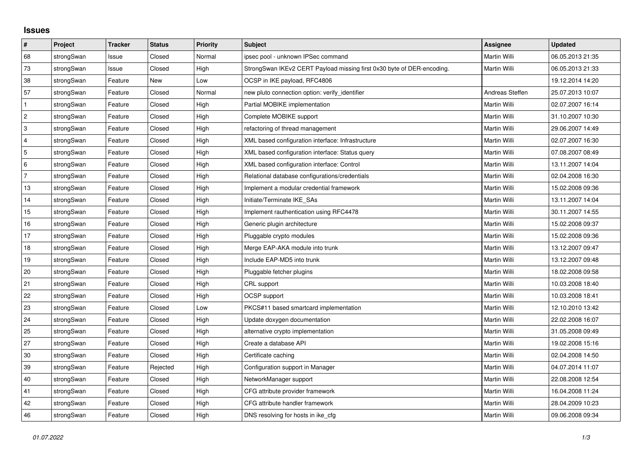## **Issues**

| #              | Project    | <b>Tracker</b> | <b>Status</b> | <b>Priority</b> | <b>Subject</b>                                                         | <b>Assignee</b>     | <b>Updated</b>   |
|----------------|------------|----------------|---------------|-----------------|------------------------------------------------------------------------|---------------------|------------------|
| 68             | strongSwan | Issue          | Closed        | Normal          | ipsec pool - unknown IPSec command                                     | <b>Martin Willi</b> | 06.05.2013 21:35 |
| 73             | strongSwan | Issue          | Closed        | High            | StrongSwan IKEv2 CERT Payload missing first 0x30 byte of DER-encoding. | Martin Willi        | 06.05.2013 21:33 |
| 38             | strongSwan | Feature        | <b>New</b>    | Low             | OCSP in IKE payload, RFC4806                                           |                     | 19.12.2014 14:20 |
| 57             | strongSwan | Feature        | Closed        | Normal          | new pluto connection option: verify identifier                         | Andreas Steffen     | 25.07.2013 10:07 |
| $\vert$ 1      | strongSwan | Feature        | Closed        | High            | Partial MOBIKE implementation                                          | Martin Willi        | 02.07.2007 16:14 |
| $\overline{c}$ | strongSwan | Feature        | Closed        | High            | Complete MOBIKE support                                                | Martin Willi        | 31.10.2007 10:30 |
| 3              | strongSwan | Feature        | Closed        | High            | refactoring of thread management                                       | Martin Willi        | 29.06.2007 14:49 |
| $\overline{4}$ | strongSwan | Feature        | Closed        | High            | XML based configuration interface: Infrastructure                      | Martin Willi        | 02.07.2007 16:30 |
| 5              | strongSwan | Feature        | Closed        | High            | XML based configuration interface: Status query                        | Martin Willi        | 07.08.2007 08:49 |
| 6              | strongSwan | Feature        | Closed        | High            | XML based configuration interface: Control                             | Martin Willi        | 13.11.2007 14:04 |
| $\overline{7}$ | strongSwan | Feature        | Closed        | High            | Relational database configurations/credentials                         | Martin Willi        | 02.04.2008 16:30 |
| 13             | strongSwan | Feature        | Closed        | High            | Implement a modular credential framework                               | Martin Willi        | 15.02.2008 09:36 |
| 14             | strongSwan | Feature        | Closed        | High            | Initiate/Terminate IKE SAs                                             | Martin Willi        | 13.11.2007 14:04 |
| 15             | strongSwan | Feature        | Closed        | High            | Implement rauthentication using RFC4478                                | Martin Willi        | 30.11.2007 14:55 |
| 16             | strongSwan | Feature        | Closed        | High            | Generic plugin architecture                                            | Martin Willi        | 15.02.2008 09:37 |
| 17             | strongSwan | Feature        | Closed        | High            | Pluggable crypto modules                                               | Martin Willi        | 15.02.2008 09:36 |
| $18$           | strongSwan | Feature        | Closed        | High            | Merge EAP-AKA module into trunk                                        | Martin Willi        | 13.12.2007 09:47 |
| 19             | strongSwan | Feature        | Closed        | High            | Include EAP-MD5 into trunk                                             | Martin Willi        | 13.12.2007 09:48 |
| 20             | strongSwan | Feature        | Closed        | High            | Pluggable fetcher plugins                                              | Martin Willi        | 18.02.2008 09:58 |
| 21             | strongSwan | Feature        | Closed        | High            | CRL support                                                            | Martin Willi        | 10.03.2008 18:40 |
| 22             | strongSwan | Feature        | Closed        | High            | <b>OCSP</b> support                                                    | Martin Willi        | 10.03.2008 18:41 |
| 23             | strongSwan | Feature        | Closed        | Low             | PKCS#11 based smartcard implementation                                 | Martin Willi        | 12.10.2010 13:42 |
| $ 24\rangle$   | strongSwan | Feature        | Closed        | High            | Update doxygen documentation                                           | Martin Willi        | 22.02.2008 16:07 |
| 25             | strongSwan | Feature        | Closed        | High            | alternative crypto implementation                                      | Martin Willi        | 31.05.2008 09:49 |
| 27             | strongSwan | Feature        | Closed        | High            | Create a database API                                                  | Martin Willi        | 19.02.2008 15:16 |
| 30             | strongSwan | Feature        | Closed        | High            | Certificate caching                                                    | Martin Willi        | 02.04.2008 14:50 |
| 39             | strongSwan | Feature        | Rejected      | High            | Configuration support in Manager                                       | Martin Willi        | 04.07.2014 11:07 |
| $40\,$         | strongSwan | Feature        | Closed        | High            | NetworkManager support                                                 | Martin Willi        | 22.08.2008 12:54 |
| 41             | strongSwan | Feature        | Closed        | High            | CFG attribute provider framework                                       | Martin Willi        | 16.04.2008 11:24 |
| 42             | strongSwan | Feature        | Closed        | High            | CFG attribute handler framework                                        | Martin Willi        | 28.04.2009 10:23 |
| 46             | strongSwan | Feature        | Closed        | High            | DNS resolving for hosts in ike_cfg                                     | Martin Willi        | 09.06.2008 09:34 |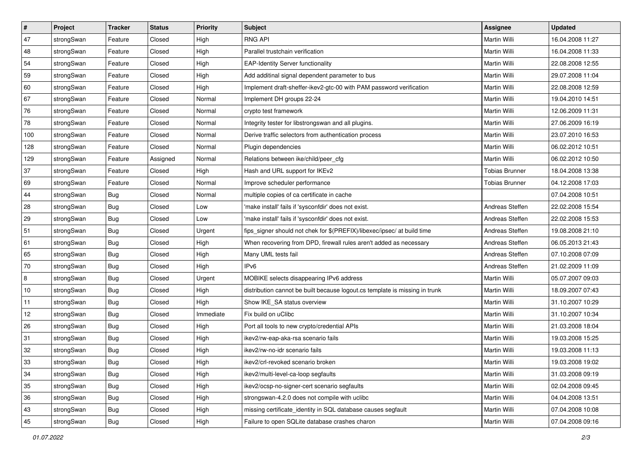| $\vert$ # | Project    | <b>Tracker</b> | <b>Status</b> | Priority  | <b>Subject</b>                                                              | <b>Assignee</b>       | <b>Updated</b>   |
|-----------|------------|----------------|---------------|-----------|-----------------------------------------------------------------------------|-----------------------|------------------|
| 47        | strongSwan | Feature        | Closed        | High      | <b>RNG API</b>                                                              | Martin Willi          | 16.04.2008 11:27 |
| 48        | strongSwan | Feature        | Closed        | High      | Parallel trustchain verification                                            | Martin Willi          | 16.04.2008 11:33 |
| 54        | strongSwan | Feature        | Closed        | High      | <b>EAP-Identity Server functionality</b>                                    | Martin Willi          | 22.08.2008 12:55 |
| 59        | strongSwan | Feature        | Closed        | High      | Add additinal signal dependent parameter to bus                             | Martin Willi          | 29.07.2008 11:04 |
| 60        | strongSwan | Feature        | Closed        | High      | Implement draft-sheffer-ikev2-gtc-00 with PAM password verification         | Martin Willi          | 22.08.2008 12:59 |
| 67        | strongSwan | Feature        | Closed        | Normal    | Implement DH groups 22-24                                                   | Martin Willi          | 19.04.2010 14:51 |
| 76        | strongSwan | Feature        | Closed        | Normal    | crypto test framework                                                       | Martin Willi          | 12.06.2009 11:31 |
| 78        | strongSwan | Feature        | Closed        | Normal    | Integrity tester for libstrongswan and all plugins.                         | Martin Willi          | 27.06.2009 16:19 |
| 100       | strongSwan | Feature        | Closed        | Normal    | Derive traffic selectors from authentication process                        | Martin Willi          | 23.07.2010 16:53 |
| 128       | strongSwan | Feature        | Closed        | Normal    | Plugin dependencies                                                         | Martin Willi          | 06.02.2012 10:51 |
| 129       | strongSwan | Feature        | Assigned      | Normal    | Relations between ike/child/peer_cfg                                        | Martin Willi          | 06.02.2012 10:50 |
| 37        | strongSwan | Feature        | Closed        | High      | Hash and URL support for IKEv2                                              | <b>Tobias Brunner</b> | 18.04.2008 13:38 |
| 69        | strongSwan | Feature        | Closed        | Normal    | Improve scheduler performance                                               | <b>Tobias Brunner</b> | 04.12.2008 17:03 |
| 44        | strongSwan | <b>Bug</b>     | Closed        | Normal    | multiple copies of ca certificate in cache                                  |                       | 07.04.2008 10:51 |
| 28        | strongSwan | Bug            | Closed        | Low       | 'make install' fails if 'sysconfdir' does not exist.                        | Andreas Steffen       | 22.02.2008 15:54 |
| 29        | strongSwan | <b>Bug</b>     | Closed        | Low       | 'make install' fails if 'sysconfdir' does not exist.                        | Andreas Steffen       | 22.02.2008 15:53 |
| 51        | strongSwan | <b>Bug</b>     | Closed        | Urgent    | fips_signer should not chek for \$(PREFIX)/libexec/ipsec/ at build time     | Andreas Steffen       | 19.08.2008 21:10 |
| 61        | strongSwan | Bug            | Closed        | High      | When recovering from DPD, firewall rules aren't added as necessary          | Andreas Steffen       | 06.05.2013 21:43 |
| 65        | strongSwan | <b>Bug</b>     | Closed        | High      | Many UML tests fail                                                         | Andreas Steffen       | 07.10.2008 07:09 |
| 70        | strongSwan | Bug            | Closed        | High      | IP <sub>v6</sub>                                                            | Andreas Steffen       | 21.02.2009 11:09 |
| 8         | strongSwan | <b>Bug</b>     | Closed        | Urgent    | MOBIKE selects disappearing IPv6 address                                    | Martin Willi          | 05.07.2007 09:03 |
| 10        | strongSwan | <b>Bug</b>     | Closed        | High      | distribution cannot be built because logout.cs template is missing in trunk | Martin Willi          | 18.09.2007 07:43 |
| 11        | strongSwan | Bug            | Closed        | High      | Show IKE_SA status overview                                                 | Martin Willi          | 31.10.2007 10:29 |
| 12        | strongSwan | <b>Bug</b>     | Closed        | Immediate | Fix build on uClibc                                                         | Martin Willi          | 31.10.2007 10:34 |
| 26        | strongSwan | <b>Bug</b>     | Closed        | High      | Port all tools to new crypto/credential APIs                                | Martin Willi          | 21.03.2008 18:04 |
| 31        | strongSwan | Bug            | Closed        | High      | ikev2/rw-eap-aka-rsa scenario fails                                         | Martin Willi          | 19.03.2008 15:25 |
| 32        | strongSwan | Bug            | Closed        | High      | ikev2/rw-no-idr scenario fails                                              | Martin Willi          | 19.03.2008 11:13 |
| 33        | strongSwan | Bug            | Closed        | High      | ikev2/crl-revoked scenario broken                                           | Martin Willi          | 19.03.2008 19:02 |
| 34        | strongSwan | <b>Bug</b>     | Closed        | High      | ikev2/multi-level-ca-loop segfaults                                         | Martin Willi          | 31.03.2008 09:19 |
| 35        | strongSwan | Bug            | Closed        | High      | ikev2/ocsp-no-signer-cert scenario segfaults                                | Martin Willi          | 02.04.2008 09:45 |
| 36        | strongSwan | Bug            | Closed        | High      | strongswan-4.2.0 does not compile with uclibc                               | Martin Willi          | 04.04.2008 13:51 |
| 43        | strongSwan | Bug            | Closed        | High      | missing certificate_identity in SQL database causes segfault                | Martin Willi          | 07.04.2008 10:08 |
| 45        | strongSwan | <b>Bug</b>     | Closed        | High      | Failure to open SQLite database crashes charon                              | Martin Willi          | 07.04.2008 09:16 |